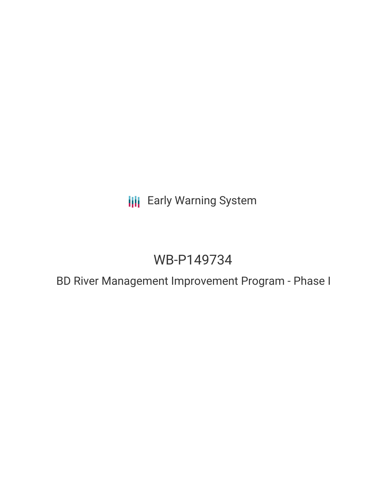**III** Early Warning System

# WB-P149734

BD River Management Improvement Program - Phase I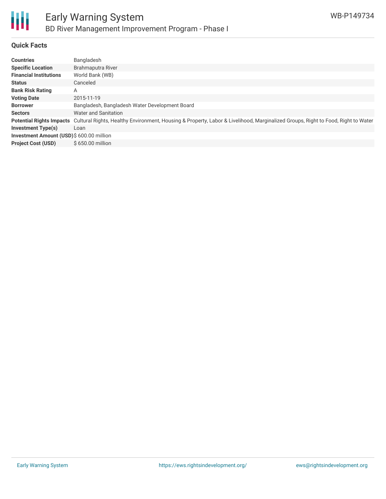

# **Quick Facts**

| <b>Countries</b>                         | Bangladesh                                                                                                                       |
|------------------------------------------|----------------------------------------------------------------------------------------------------------------------------------|
| <b>Specific Location</b>                 | Brahmaputra River                                                                                                                |
| <b>Financial Institutions</b>            | World Bank (WB)                                                                                                                  |
| <b>Status</b>                            | Canceled                                                                                                                         |
| <b>Bank Risk Rating</b>                  | A                                                                                                                                |
| <b>Voting Date</b>                       | 2015-11-19                                                                                                                       |
| <b>Borrower</b>                          | Bangladesh, Bangladesh Water Development Board                                                                                   |
| <b>Sectors</b>                           | <b>Water and Sanitation</b>                                                                                                      |
| <b>Potential Rights Impacts</b>          | Cultural Rights, Healthy Environment, Housing & Property, Labor & Livelihood, Marginalized Groups, Right to Food, Right to Water |
| <b>Investment Type(s)</b>                | Loan                                                                                                                             |
| Investment Amount (USD)\$ 600.00 million |                                                                                                                                  |
| <b>Project Cost (USD)</b>                | \$650.00 million                                                                                                                 |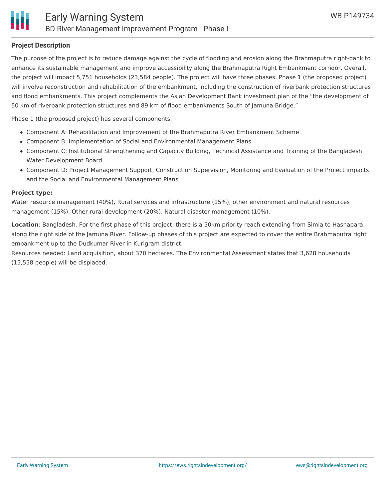## **Project Description**

The purpose of the project is to reduce damage against the cycle of flooding and erosion along the Brahmaputra right-bank to enhance its sustainable management and improve accessibility along the Brahmaputra Right Embankment corridor. Overall, the project will impact 5,751 households (23,584 people). The project will have three phases. Phase 1 (the proposed project) will involve reconstruction and rehabilitation of the embankment, including the construction of riverbank protection structures and flood embankments. This project complements the Asian Development Bank investment plan of the "the development of 50 km of riverbank protection structures and 89 km of flood embankments South of Jamuna Bridge."

Phase 1 (the proposed project) has several components:

- Component A: Rehabilitation and Improvement of the Brahmaputra River Embankment Scheme
- Component B: Implementation of Social and Environmental Management Plans
- Component C: Institutional Strengthening and Capacity Building, Technical Assistance and Training of the Bangladesh Water Development Board
- Component D: Project Management Support, Construction Supervision, Monitoring and Evaluation of the Project impacts and the Social and Environmental Management Plans

### **Project type:**

Water resource management (40%), Rural services and infrastructure (15%), other environment and natural resources management (15%), Other rural development (20%), Natural disaster management (10%).

**Location**: Bangladesh. For the first phase of this project, there is a 50km priority reach extending from Simla to Hasnapara, along the right side of the Jamuna River. Follow-up phases of this project are expected to cover the entire Brahmaputra right embankment up to the Dudkumar River in Kurigram district.

Resources needed: Land acquisition, about 370 hectares. The Environmental Assessment states that 3,628 households (15,558 people) will be displaced.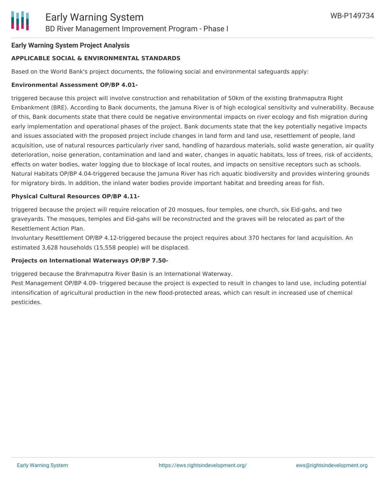## **Early Warning System Project Analysis**

## **APPLICABLE SOCIAL & ENVIRONMENTAL STANDARDS**

Based on the World Bank's project documents, the following social and environmental safeguards apply:

## **Environmental Assessment OP/BP 4.01-**

triggered because this project will involve construction and rehabilitation of 50km of the existing Brahmaputra Right Embankment (BRE). According to Bank documents, the Jamuna River is of high ecological sensitivity and vulnerability. Because of this, Bank documents state that there could be negative environmental impacts on river ecology and fish migration during early implementation and operational phases of the project. Bank documents state that the key potentially negative impacts and issues associated with the proposed project include changes in land form and land use, resettlement of people, land acquisition, use of natural resources particularly river sand, handling of hazardous materials, solid waste generation, air quality deterioration, noise generation, contamination and land and water, changes in aquatic habitats, loss of trees, risk of accidents, effects on water bodies, water logging due to blockage of local routes, and impacts on sensitive receptors such as schools. Natural Habitats OP/BP 4.04-triggered because the Jamuna River has rich aquatic biodiversity and provides wintering grounds for migratory birds. In addition, the inland water bodies provide important habitat and breeding areas for fish.

### **Physical Cultural Resources OP/BP 4.11-**

triggered because the project will require relocation of 20 mosques, four temples, one church, six Eid-gahs, and two graveyards. The mosques, temples and Eid-gahs will be reconstructed and the graves will be relocated as part of the Resettlement Action Plan.

Involuntary Resettlement OP/BP 4.12-triggered because the project requires about 370 hectares for land acquisition. An estimated 3,628 households (15,558 people) will be displaced.

#### **Projects on International Waterways OP/BP 7.50-**

triggered because the Brahmaputra River Basin is an International Waterway.

Pest Management OP/BP 4.09- triggered because the project is expected to result in changes to land use, including potential intensification of agricultural production in the new flood-protected areas, which can result in increased use of chemical pesticides.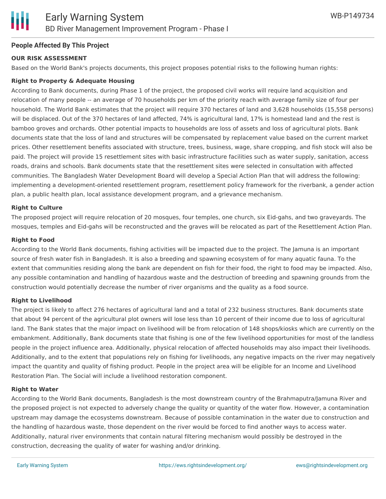## **People Affected By This Project**

## **OUR RISK ASSESSMENT**

Based on the World Bank's projects documents, this project proposes potential risks to the following human rights:

## **Right to Property & Adequate Housing**

According to Bank documents, during Phase 1 of the project, the proposed civil works will require land acquisition and relocation of many people -- an average of 70 households per km of the priority reach with average family size of four per household. The World Bank estimates that the project will require 370 hectares of land and 3,628 households (15,558 persons) will be displaced. Out of the 370 hectares of land affected, 74% is agricultural land, 17% is homestead land and the rest is bamboo groves and orchards. Other potential impacts to households are loss of assets and loss of agricultural plots. Bank documents state that the loss of land and structures will be compensated by replacement value based on the current market prices. Other resettlement benefits associated with structure, trees, business, wage, share cropping, and fish stock will also be paid. The project will provide 15 resettlement sites with basic infrastructure facilities such as water supply, sanitation, access roads, drains and schools. Bank documents state that the resettlement sites were selected in consultation with affected communities. The Bangladesh Water Development Board will develop a Special Action Plan that will address the following: implementing a development-oriented resettlement program, resettlement policy framework for the riverbank, a gender action plan, a public health plan, local assistance development program, and a grievance mechanism.

### **Right to Culture**

The proposed project will require relocation of 20 mosques, four temples, one church, six Eid-gahs, and two graveyards. The mosques, temples and Eid-gahs will be reconstructed and the graves will be relocated as part of the Resettlement Action Plan.

#### **Right to Food**

According to the World Bank documents, fishing activities will be impacted due to the project. The Jamuna is an important source of fresh water fish in Bangladesh. It is also a breeding and spawning ecosystem of for many aquatic fauna. To the extent that communities residing along the bank are dependent on fish for their food, the right to food may be impacted. Also, any possible contamination and handling of hazardous waste and the destruction of breeding and spawning grounds from the construction would potentially decrease the number of river organisms and the quality as a food source.

## **Right to Livelihood**

The project is likely to affect 276 hectares of agricultural land and a total of 232 business structures. Bank documents state that about 94 percent of the agricultural plot owners will lose less than 10 percent of their income due to loss of agricultural land. The Bank states that the major impact on livelihood will be from relocation of 148 shops/kiosks which are currently on the embankment. Additionally, Bank documents state that fishing is one of the few livelihood opportunities for most of the landless people in the project influence area. Additionally, physical relocation of affected households may also impact their livelihoods. Additionally, and to the extent that populations rely on fishing for livelihoods, any negative impacts on the river may negatively impact the quantity and quality of fishing product. People in the project area will be eligible for an Income and Livelihood Restoration Plan. The Social will include a livelihood restoration component.

#### **Right to Water**

According to the World Bank documents, Bangladesh is the most downstream country of the Brahmaputra/Jamuna River and the proposed project is not expected to adversely change the quality or quantity of the water flow. However, a contamination upstream may damage the ecosystems downstream. Because of possible contamination in the water due to construction and the handling of hazardous waste, those dependent on the river would be forced to find another ways to access water. Additionally, natural river environments that contain natural filtering mechanism would possibly be destroyed in the construction, decreasing the quality of water for washing and/or drinking.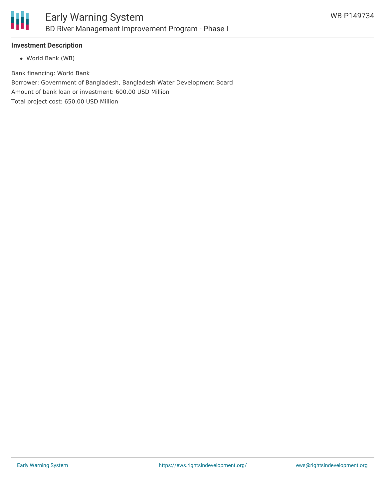

# **Investment Description**

World Bank (WB)

Bank financing: World Bank Borrower: Government of Bangladesh, Bangladesh Water Development Board Amount of bank loan or investment: 600.00 USD Million Total project cost: 650.00 USD Million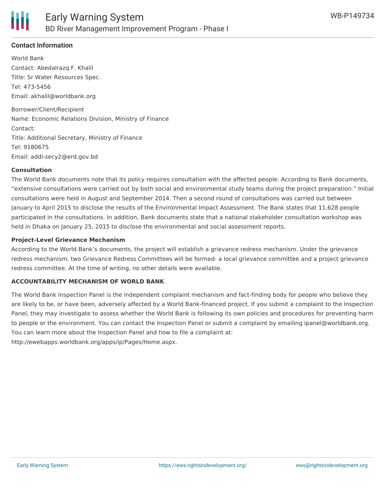

# **Contact Information**

World Bank Contact: Abedalrazq F. Khalil Title: Sr Water Resources Spec. Tel: 473-5456 Email: akhalil@worldbank.org Borrower/Client/Recipient Name: Economic Relations Division, Ministry of Finance Contact: Title: Additional Secretary, Ministry of Finance Tel: 9180675 Email: addl-secy2@erd.gov.bd

### **Consultation**

The World Bank documents note that its policy requires consultation with the affected people. According to Bank documents, "extensive consultations were carried out by both social and environmental study teams during the project preparation." Initial consultations were held in August and September 2014. Then a second round of consultations was carried out between January to April 2015 to disclose the results of the Environmental Impact Assessment. The Bank states that 11,628 people participated in the consultations. In addition, Bank documents state that a national stakeholder consultation workshop was held in Dhaka on January 25, 2015 to disclose the environmental and social assessment reports.

## **Project-Level Grievance Mechanism**

According to the World Bank's documents, the project will establish a grievance redress mechanism. Under the grievance redress mechanism, two Grievance Redress Committees will be formed- a local grievance committee and a project grievance redress committee. At the time of writing, no other details were available.

#### **ACCOUNTABILITY MECHANISM OF WORLD BANK**

The World Bank Inspection Panel is the independent complaint mechanism and fact-finding body for people who believe they are likely to be, or have been, adversely affected by a World Bank-financed project. If you submit a complaint to the Inspection Panel, they may investigate to assess whether the World Bank is following its own policies and procedures for preventing harm to people or the environment. You can contact the Inspection Panel or submit a complaint by emailing ipanel@worldbank.org. You can learn more about the Inspection Panel and how to file a complaint at:

http://ewebapps.worldbank.org/apps/ip/Pages/Home.aspx.